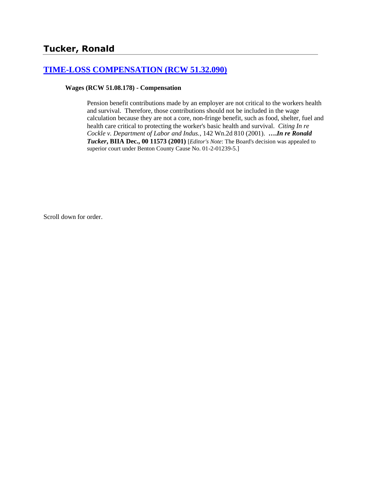### **[TIME-LOSS COMPENSATION \(RCW 51.32.090\)](http://www.biia.wa.gov/SDSubjectIndex.html#TIME_LOSS_COMPENSATION)**

**Wages (RCW 51.08.178) - Compensation**

Pension benefit contributions made by an employer are not critical to the workers health and survival. Therefore, those contributions should not be included in the wage calculation because they are not a core, non-fringe benefit, such as food, shelter, fuel and health care critical to protecting the worker's basic health and survival. *Citing In re Cockle v. Department of Labor and Indus.*, 142 Wn.2d 810 (2001). **….***In re Ronald Tucker***, BIIA Dec., 00 11573 (2001)** [*Editor's Note*: The Board's decision was appealed to superior court under Benton County Cause No. 01-2-01239-5.]

Scroll down for order.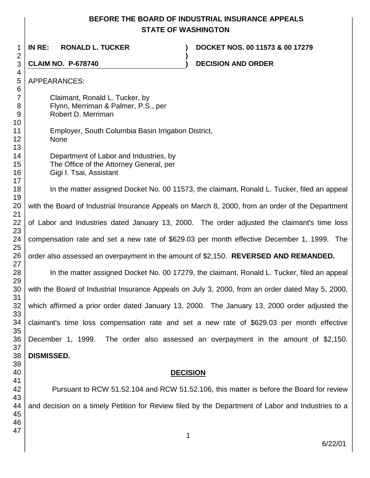# **BEFORE THE BOARD OF INDUSTRIAL INSURANCE APPEALS STATE OF WASHINGTON**

 **IN RE: RONALD L. TUCKER ) DOCKET NOS. 00 11573 & 00 17279 ) CLAIM NO. P-678740 ) DECISION AND ORDER**  APPEARANCES: Claimant, Ronald L. Tucker, by Flynn, Merriman & Palmer, P.S., per Robert D. Merriman Employer, South Columbia Basin Irrigation District, None Department of Labor and Industries, by The Office of the Attorney General, per Gigi I. Tsai, Assistant In the matter assigned Docket No. 00 11573, the claimant, Ronald L. Tucker, filed an appeal with the Board of Industrial Insurance Appeals on March 8, 2000, from an order of the Department of Labor and Industries dated January 13, 2000. The order adjusted the claimant's time loss compensation rate and set a new rate of \$629.03 per month effective December 1, 1999. The order also assessed an overpayment in the amount of \$2,150. **REVERSED AND REMANDED.** In the matter assigned Docket No. 00 17279, the claimant, Ronald L. Tucker, filed an appeal with the Board of Industrial Insurance Appeals on July 3, 2000, from an order dated May 5, 2000, which affirmed a prior order dated January 13, 2000. The January 13, 2000 order adjusted the claimant's time loss compensation rate and set a new rate of \$629.03 per month effective December 1, 1999. The order also assessed an overpayment in the amount of \$2,150. **DISMISSED. DECISION** Pursuant to RCW 51.52.104 and RCW 51.52.106, this matter is before the Board for review and decision on a timely Petition for Review filed by the Department of Labor and Industries to a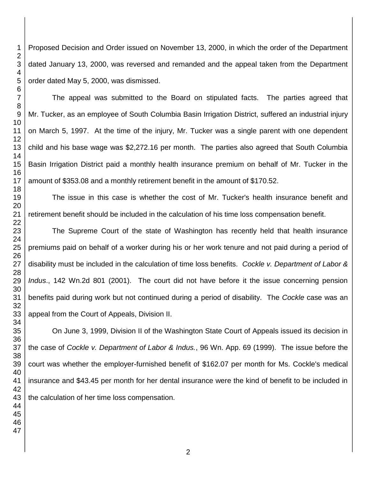Proposed Decision and Order issued on November 13, 2000, in which the order of the Department dated January 13, 2000, was reversed and remanded and the appeal taken from the Department order dated May 5, 2000, was dismissed.

The appeal was submitted to the Board on stipulated facts. The parties agreed that Mr. Tucker, as an employee of South Columbia Basin Irrigation District, suffered an industrial injury on March 5, 1997. At the time of the injury, Mr. Tucker was a single parent with one dependent child and his base wage was \$2,272.16 per month. The parties also agreed that South Columbia Basin Irrigation District paid a monthly health insurance premium on behalf of Mr. Tucker in the amount of \$353.08 and a monthly retirement benefit in the amount of \$170.52.

The issue in this case is whether the cost of Mr. Tucker's health insurance benefit and retirement benefit should be included in the calculation of his time loss compensation benefit.

The Supreme Court of the state of Washington has recently held that health insurance premiums paid on behalf of a worker during his or her work tenure and not paid during a period of disability must be included in the calculation of time loss benefits. *Cockle v. Department of Labor & Indus*., 142 Wn.2d 801 (2001). The court did not have before it the issue concerning pension benefits paid during work but not continued during a period of disability. The *Cockle* case was an appeal from the Court of Appeals, Division II.

On June 3, 1999, Division II of the Washington State Court of Appeals issued its decision in the case of *Cockle v. Department of Labor & Indus.*, 96 Wn. App. 69 (1999). The issue before the court was whether the employer-furnished benefit of \$162.07 per month for Ms. Cockle's medical insurance and \$43.45 per month for her dental insurance were the kind of benefit to be included in the calculation of her time loss compensation.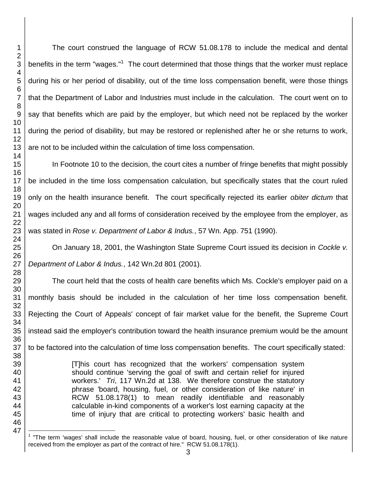The court construed the language of RCW 51.08.178 to include the medical and dental benefits in the term "wages."<sup>1</sup> The court determined that those things that the worker must replace during his or her period of disability, out of the time loss compensation benefit, were those things that the Department of Labor and Industries must include in the calculation. The court went on to say that benefits which are paid by the employer, but which need not be replaced by the worker during the period of disability, but may be restored or replenished after he or she returns to work, are not to be included within the calculation of time loss compensation.

In Footnote 10 to the decision, the court cites a number of fringe benefits that might possibly be included in the time loss compensation calculation, but specifically states that the court ruled only on the health insurance benefit. The court specifically rejected its earlier *obiter dictum* that wages included any and all forms of consideration received by the employee from the employer, as was stated in *Rose v. Department of Labor & Indus.*, 57 Wn. App. 751 (1990).

On January 18, 2001, the Washington State Supreme Court issued its decision in *Cockle v. Department of Labor & Indus.*, 142 Wn.2d 801 (2001).

The court held that the costs of health care benefits which Ms. Cockle's employer paid on a monthly basis should be included in the calculation of her time loss compensation benefit. Rejecting the Court of Appeals' concept of fair market value for the benefit, the Supreme Court instead said the employer's contribution toward the health insurance premium would be the amount to be factored into the calculation of time loss compensation benefits. The court specifically stated:

> [T]his court has recognized that the workers' compensation system should continue 'serving the goal of swift and certain relief for injured workers.' *Tri*, 117 Wn.2d at 138. We therefore construe the statutory phrase 'board, housing, fuel, or other consideration of like nature' in RCW 51.08.178(1) to mean readily identifiable and reasonably calculable in-kind components of a worker's lost earning capacity at the time of injury that are critical to protecting workers' basic health and

l "The term 'wages' shall include the reasonable value of board, housing, fuel, or other consideration of like nature received from the employer as part of the contract of hire." RCW 51.08.178(1).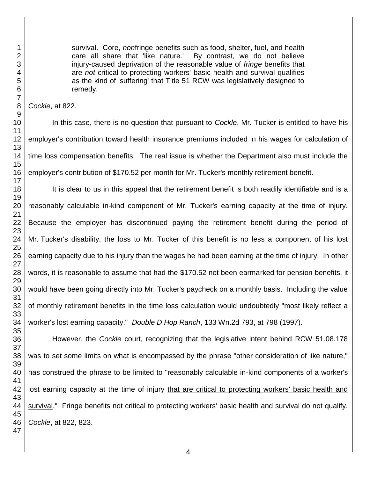survival. Core, *non*fringe benefits such as food, shelter, fuel, and health care all share that 'like nature.' By contrast, we do not believe injury-caused deprivation of the reasonable value of *fringe* benefits that are *not* critical to protecting workers' basic health and survival qualifies as the kind of 'suffering' that Title 51 RCW was legislatively designed to remedy.

*Cockle*, at 822.

In this case, there is no question that pursuant to *Cockle*, Mr. Tucker is entitled to have his employer's contribution toward health insurance premiums included in his wages for calculation of time loss compensation benefits. The real issue is whether the Department also must include the employer's contribution of \$170.52 per month for Mr. Tucker's monthly retirement benefit.

It is clear to us in this appeal that the retirement benefit is both readily identifiable and is a reasonably calculable in-kind component of Mr. Tucker's earning capacity at the time of injury. Because the employer has discontinued paying the retirement benefit during the period of Mr. Tucker's disability, the loss to Mr. Tucker of this benefit is no less a component of his lost earning capacity due to his injury than the wages he had been earning at the time of injury. In other words, it is reasonable to assume that had the \$170.52 not been earmarked for pension benefits, it would have been going directly into Mr. Tucker's paycheck on a monthly basis. Including the value of monthly retirement benefits in the time loss calculation would undoubtedly "most likely reflect a worker's lost earning capacity." *Double D Hop Ranch*, 133 Wn.2d 793, at 798 (1997).

However, the *Cockle* court, recognizing that the legislative intent behind RCW 51.08.178 was to set some limits on what is encompassed by the phrase "other consideration of like nature," has construed the phrase to be limited to "reasonably calculable in-kind components of a worker's lost earning capacity at the time of injury that are critical to protecting workers' basic health and survival." Fringe benefits not critical to protecting workers' basic health and survival do not qualify. *Cockle*, at 822, 823.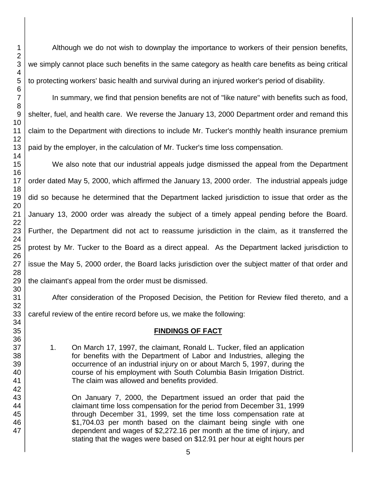Although we do not wish to downplay the importance to workers of their pension benefits, we simply cannot place such benefits in the same category as health care benefits as being critical to protecting workers' basic health and survival during an injured worker's period of disability.

In summary, we find that pension benefits are not of "like nature" with benefits such as food, shelter, fuel, and health care. We reverse the January 13, 2000 Department order and remand this claim to the Department with directions to include Mr. Tucker's monthly health insurance premium paid by the employer, in the calculation of Mr. Tucker's time loss compensation.

We also note that our industrial appeals judge dismissed the appeal from the Department order dated May 5, 2000, which affirmed the January 13, 2000 order. The industrial appeals judge did so because he determined that the Department lacked jurisdiction to issue that order as the January 13, 2000 order was already the subject of a timely appeal pending before the Board. Further, the Department did not act to reassume jurisdiction in the claim, as it transferred the protest by Mr. Tucker to the Board as a direct appeal. As the Department lacked jurisdiction to issue the May 5, 2000 order, the Board lacks jurisdiction over the subject matter of that order and the claimant's appeal from the order must be dismissed.

After consideration of the Proposed Decision, the Petition for Review filed thereto, and a careful review of the entire record before us, we make the following:

#### **FINDINGS OF FACT**

1. On March 17, 1997, the claimant, Ronald L. Tucker, filed an application for benefits with the Department of Labor and Industries, alleging the occurrence of an industrial injury on or about March 5, 1997, during the course of his employment with South Columbia Basin Irrigation District. The claim was allowed and benefits provided.

On January 7, 2000, the Department issued an order that paid the claimant time loss compensation for the period from December 31, 1999 through December 31, 1999, set the time loss compensation rate at \$1,704.03 per month based on the claimant being single with one dependent and wages of \$2,272.16 per month at the time of injury, and stating that the wages were based on \$12.91 per hour at eight hours per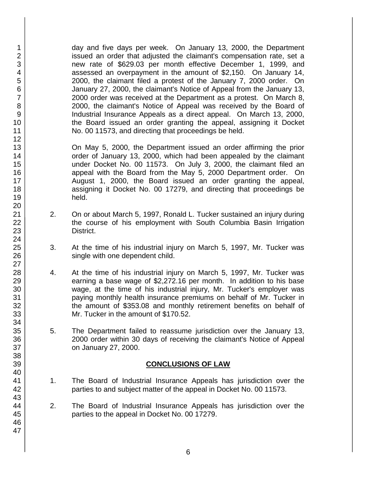day and five days per week. On January 13, 2000, the Department issued an order that adjusted the claimant's compensation rate, set a new rate of \$629.03 per month effective December 1, 1999, and assessed an overpayment in the amount of \$2,150. On January 14, 2000, the claimant filed a protest of the January 7, 2000 order. On January 27, 2000, the claimant's Notice of Appeal from the January 13, 2000 order was received at the Department as a protest. On March 8, 2000, the claimant's Notice of Appeal was received by the Board of Industrial Insurance Appeals as a direct appeal. On March 13, 2000, the Board issued an order granting the appeal, assigning it Docket No. 00 11573, and directing that proceedings be held.

On May 5, 2000, the Department issued an order affirming the prior order of January 13, 2000, which had been appealed by the claimant under Docket No. 00 11573. On July 3, 2000, the claimant filed an appeal with the Board from the May 5, 2000 Department order. On August 1, 2000, the Board issued an order granting the appeal, assigning it Docket No. 00 17279, and directing that proceedings be held.

- 2. On or about March 5, 1997, Ronald L. Tucker sustained an injury during the course of his employment with South Columbia Basin Irrigation District.
- 3. At the time of his industrial injury on March 5, 1997, Mr. Tucker was single with one dependent child.
- 4. At the time of his industrial injury on March 5, 1997, Mr. Tucker was earning a base wage of \$2,272.16 per month. In addition to his base wage, at the time of his industrial injury, Mr. Tucker's employer was paying monthly health insurance premiums on behalf of Mr. Tucker in the amount of \$353.08 and monthly retirement benefits on behalf of Mr. Tucker in the amount of \$170.52.
- 5. The Department failed to reassume jurisdiction over the January 13, 2000 order within 30 days of receiving the claimant's Notice of Appeal on January 27, 2000.

#### **CONCLUSIONS OF LAW**

- 1. The Board of Industrial Insurance Appeals has jurisdiction over the parties to and subject matter of the appeal in Docket No. 00 11573.
- 2. The Board of Industrial Insurance Appeals has jurisdiction over the parties to the appeal in Docket No. 00 17279.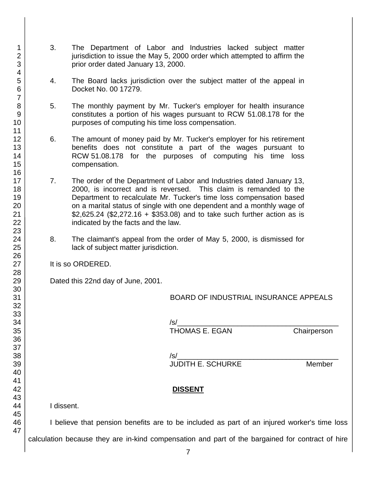- 3. The Department of Labor and Industries lacked subject matter jurisdiction to issue the May 5, 2000 order which attempted to affirm the prior order dated January 13, 2000.
- 4. The Board lacks jurisdiction over the subject matter of the appeal in Docket No. 00 17279.
- 5. The monthly payment by Mr. Tucker's employer for health insurance constitutes a portion of his wages pursuant to RCW 51.08.178 for the purposes of computing his time loss compensation.
- 6. The amount of money paid by Mr. Tucker's employer for his retirement benefits does not constitute a part of the wages pursuant to RCW 51.08.178 for the purposes of computing his time loss compensation.
- 7. The order of the Department of Labor and Industries dated January 13, 2000, is incorrect and is reversed. This claim is remanded to the Department to recalculate Mr. Tucker's time loss compensation based on a marital status of single with one dependent and a monthly wage of \$2,625.24 (\$2,272.16 + \$353.08) and to take such further action as is indicated by the facts and the law.
- 8. The claimant's appeal from the order of May 5, 2000, is dismissed for lack of subject matter jurisdiction.

It is so ORDERED.

Dated this 22nd day of June, 2001.

BOARD OF INDUSTRIAL INSURANCE APPEALS

/s/\_\_\_\_\_\_\_\_\_\_\_\_\_\_\_\_\_\_\_\_\_\_\_\_\_\_\_\_\_\_\_\_\_\_\_\_\_\_\_\_ THOMAS E. EGAN Chairperson

/s/\_\_\_\_\_\_\_\_\_\_\_\_\_\_\_\_\_\_\_\_\_\_\_\_\_\_\_\_\_\_\_\_\_\_\_\_\_\_\_\_ JUDITH E. SCHURKE Member

#### **DISSENT**

I dissent.

I believe that pension benefits are to be included as part of an injured worker's time loss calculation because they are in-kind compensation and part of the bargained for contract of hire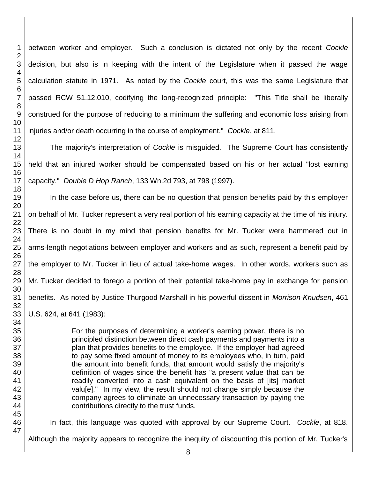between worker and employer. Such a conclusion is dictated not only by the recent *Cockle*  decision, but also is in keeping with the intent of the Legislature when it passed the wage calculation statute in 1971. As noted by the *Cockle* court, this was the same Legislature that passed RCW 51.12.010, codifying the long-recognized principle: "This Title shall be liberally construed for the purpose of reducing to a minimum the suffering and economic loss arising from injuries and/or death occurring in the course of employment." *Cockle*, at 811.

The majority's interpretation of *Cockle* is misguided. The Supreme Court has consistently held that an injured worker should be compensated based on his or her actual "lost earning capacity." *Double D Hop Ranch*, 133 Wn.2d 793, at 798 (1997).

In the case before us, there can be no question that pension benefits paid by this employer on behalf of Mr. Tucker represent a very real portion of his earning capacity at the time of his injury. There is no doubt in my mind that pension benefits for Mr. Tucker were hammered out in arms-length negotiations between employer and workers and as such, represent a benefit paid by the employer to Mr. Tucker in lieu of actual take-home wages. In other words, workers such as Mr. Tucker decided to forego a portion of their potential take-home pay in exchange for pension benefits. As noted by Justice Thurgood Marshall in his powerful dissent in *Morrison-Knudsen*, 461 U.S. 624, at 641 (1983):

> For the purposes of determining a worker's earning power, there is no principled distinction between direct cash payments and payments into a plan that provides benefits to the employee. If the employer had agreed to pay some fixed amount of money to its employees who, in turn, paid the amount into benefit funds, that amount would satisfy the majority's definition of wages since the benefit has "a present value that can be readily converted into a cash equivalent on the basis of [its] market valu[e]." In my view, the result should not change simply because the company agrees to eliminate an unnecessary transaction by paying the contributions directly to the trust funds.

In fact, this language was quoted with approval by our Supreme Court. *Cockle*, at 818.

Although the majority appears to recognize the inequity of discounting this portion of Mr. Tucker's